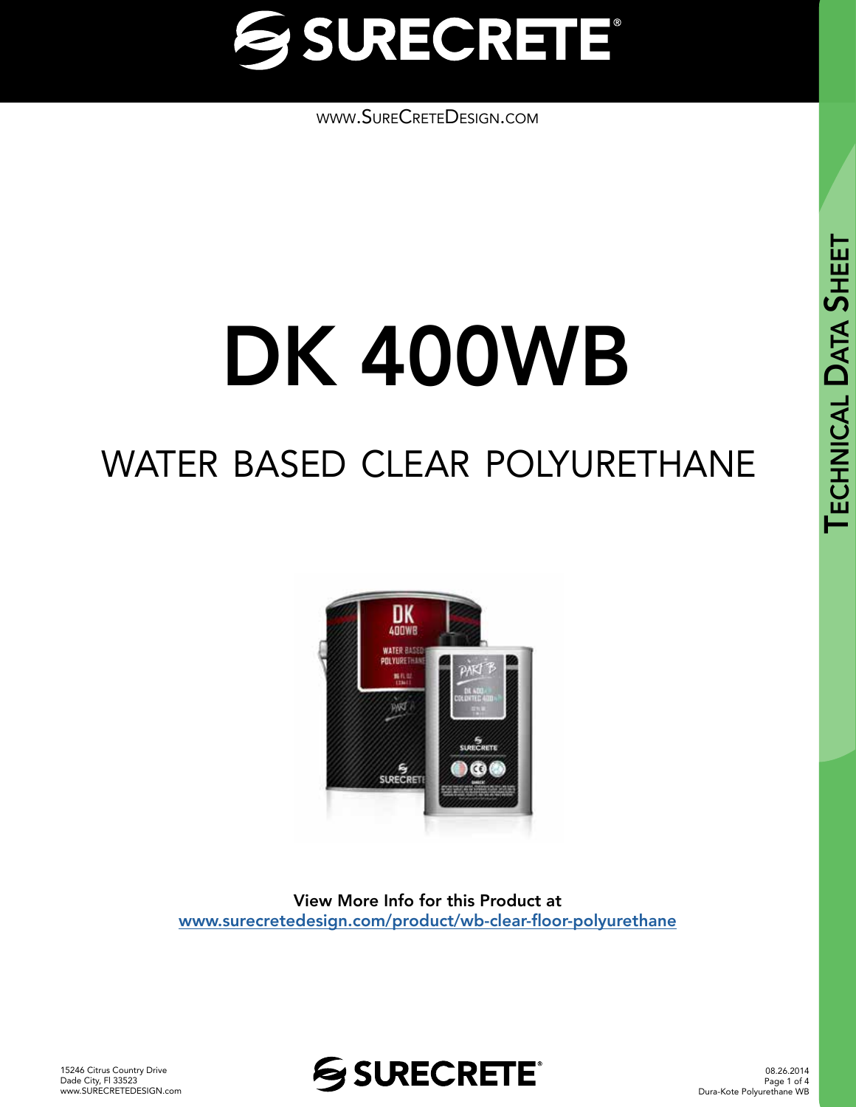

[www.SureCreteDesign.com](http://www.surecretedesign.com)

## DK 400WB

### water based clear polyurethane



View More Info for this Product at [www.surecretedesign.com/product/wb-clear-floor-polyurethane](https://www.surecretedesign.com/product/wb-clear-floor-polyurethane/)



08.26.2014 Page 1 of 4 Dura-Kote Polyurethane WB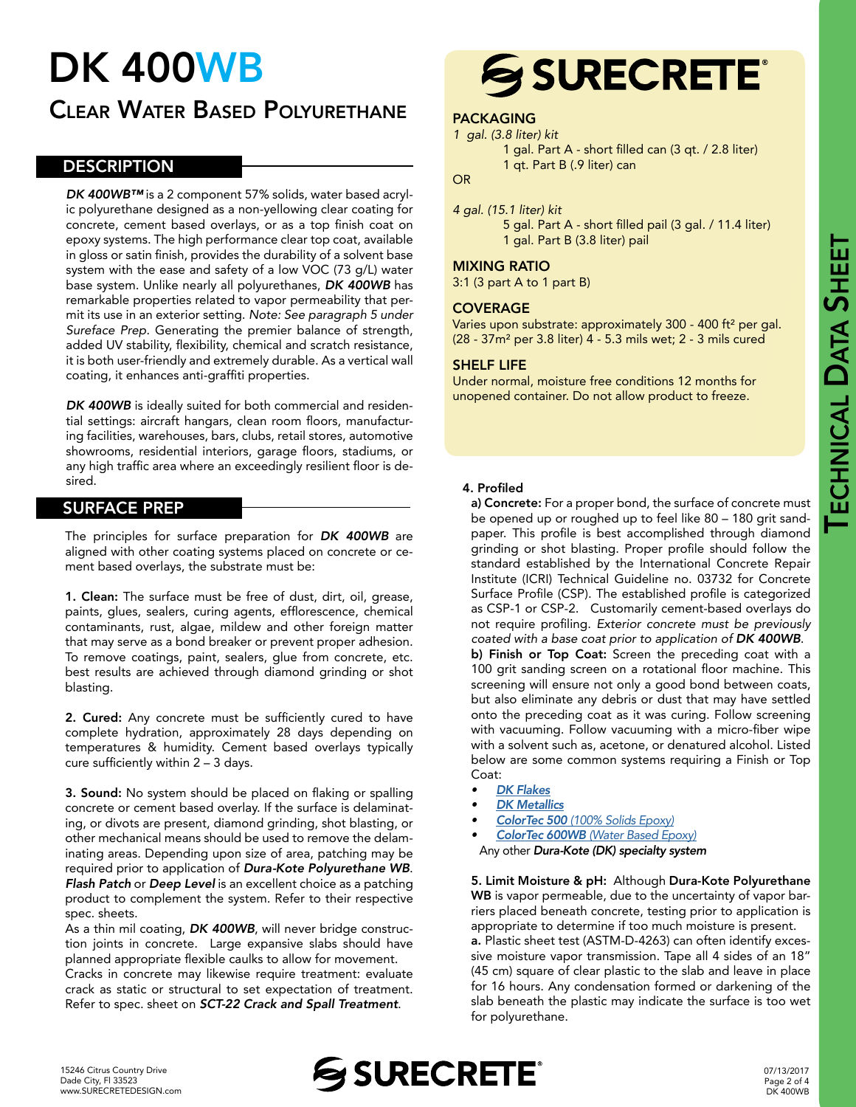# TECHNICAL DATA **SHEET**

## DK 400WB

### Clear Water Based Polyurethane

#### **DESCRIPTION**

*DK 400WB™* is a 2 component 57% solids, water based acrylic polyurethane designed as a non-yellowing clear coating for concrete, cement based overlays, or as a top finish coat on epoxy systems. The high performance clear top coat, available in gloss or satin finish, provides the durability of a solvent base system with the ease and safety of a low VOC (73 g/L) water base system. Unlike nearly all polyurethanes, *DK 400WB* has remarkable properties related to vapor permeability that permit its use in an exterior setting. *Note: See paragraph 5 under Sureface Prep.* Generating the premier balance of strength, added UV stability, flexibility, chemical and scratch resistance, it is both user-friendly and extremely durable. As a vertical wall coating, it enhances anti-graffiti properties.

DK 400WB is ideally suited for both commercial and residential settings: aircraft hangars, clean room floors, manufacturing facilities, warehouses, bars, clubs, retail stores, automotive showrooms, residential interiors, garage floors, stadiums, or any high traffic area where an exceedingly resilient floor is desired.

#### SURFACE PREP

The principles for surface preparation for *DK 400WB* are aligned with other coating systems placed on concrete or cement based overlays, the substrate must be:

1. Clean: The surface must be free of dust, dirt, oil, grease, paints, glues, sealers, curing agents, efflorescence, chemical contaminants, rust, algae, mildew and other foreign matter that may serve as a bond breaker or prevent proper adhesion. To remove coatings, paint, sealers, glue from concrete, etc. best results are achieved through diamond grinding or shot blasting.

2. Cured: Any concrete must be sufficiently cured to have complete hydration, approximately 28 days depending on temperatures & humidity. Cement based overlays typically cure sufficiently within 2 – 3 days.

3. Sound: No system should be placed on flaking or spalling concrete or cement based overlay. If the surface is delaminating, or divots are present, diamond grinding, shot blasting, or other mechanical means should be used to remove the delaminating areas. Depending upon size of area, patching may be required prior to application of *Dura-Kote Polyurethane WB*. *Flash Patch* or *Deep Level* is an excellent choice as a patching product to complement the system. Refer to their respective spec. sheets.

As a thin mil coating, *DK 400WB*, will never bridge construction joints in concrete. Large expansive slabs should have planned appropriate flexible caulks to allow for movement. Cracks in concrete may likewise require treatment: evaluate crack as static or structural to set expectation of treatment. Refer to spec. sheet on *SCT-22 Crack and Spall Treatment*.

## **SSURECRETE®**

#### PACKAGING

- *1 gal. (3.8 liter) kit* 
	- 1 gal. Part A short filled can (3 qt. / 2.8 liter) 1 qt. Part B (.9 liter) can

#### OR

*4 gal. (15.1 liter) kit* 5 gal. Part A - short filled pail (3 gal. / 11.4 liter) 1 gal. Part B (3.8 liter) pail

#### MIXING RATIO

3:1 (3 part A to 1 part B)

#### **COVERAGE**

Varies upon substrate: approximately 300 - 400 ft<sup>2</sup> per gal. (28 - 37m² per 3.8 liter) 4 - 5.3 mils wet; 2 - 3 mils cured

#### SHELF LIFE

Under normal, moisture free conditions 12 months for unopened container. Do not allow product to freeze.

#### 4. Profiled

a) Concrete: For a proper bond, the surface of concrete must be opened up or roughed up to feel like 80 – 180 grit sandpaper. This profile is best accomplished through diamond grinding or shot blasting. Proper profile should follow the standard established by the International Concrete Repair Institute (ICRI) Technical Guideline no. 03732 for Concrete Surface Profile (CSP). The established profile is categorized as CSP-1 or CSP-2. Customarily cement-based overlays do not require profiling. *Exterior concrete must be previously coated with a base coat prior to application of DK 400WB*.

b) Finish or Top Coat: Screen the preceding coat with a 100 grit sanding screen on a rotational floor machine. This screening will ensure not only a good bond between coats, but also eliminate any debris or dust that may have settled onto the preceding coat as it was curing. Follow screening with vacuuming. Follow vacuuming with a micro-fiber wipe with a solvent such as, acetone, or denatured alcohol. Listed below are some common systems requiring a Finish or Top Coat:

- *• [DK Flakes](https://www.surecretedesign.com/product/floor-flake-chips/)*
- *• [DK Metallics](https://www.surecretedesign.com/epoxy-metallic-system/)*
- *• ColorTec 500 [\(100% Solids Epoxy\)](https://www.surecretedesign.com/product/colored-floor-epoxy-100/)*
- *• ColorTec 600WB [\(Water Based Epoxy\)](https://www.surecretedesign.com/product/colored-floor-epoxy-wb/)*
- Any other *Dura-Kote (DK) specialty system*

5. Limit Moisture & pH: Although Dura-Kote Polyurethane WB is vapor permeable, due to the uncertainty of vapor barriers placed beneath concrete, testing prior to application is appropriate to determine if too much moisture is present.

a. Plastic sheet test (ASTM-D-4263) can often identify excessive moisture vapor transmission. Tape all 4 sides of an 18" (45 cm) square of clear plastic to the slab and leave in place for 16 hours. Any condensation formed or darkening of the slab beneath the plastic may indicate the surface is too wet for polyurethane.

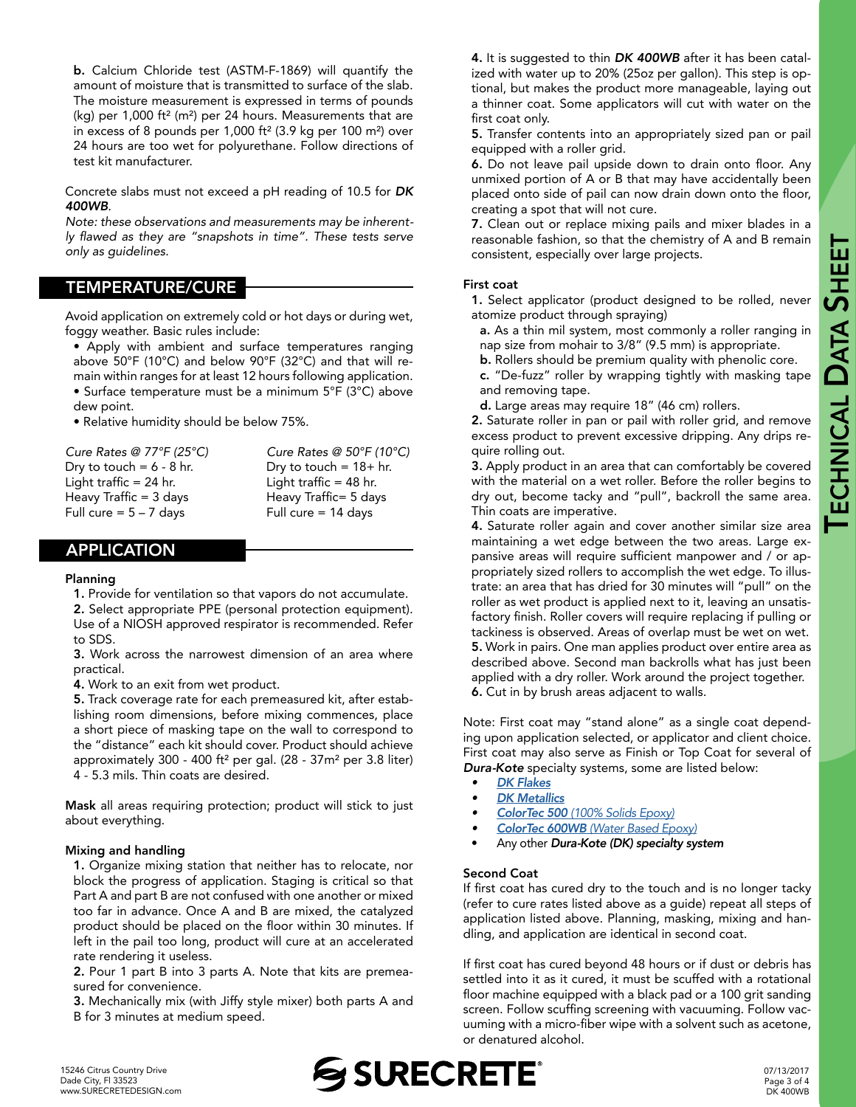b. Calcium Chloride test (ASTM-F-1869) will quantify the amount of moisture that is transmitted to surface of the slab. The moisture measurement is expressed in terms of pounds (kg) per 1,000 ft² (m²) per 24 hours. Measurements that are in excess of 8 pounds per 1,000 ft<sup>2</sup> (3.9 kg per 100 m<sup>2</sup>) over 24 hours are too wet for polyurethane. Follow directions of test kit manufacturer.

Concrete slabs must not exceed a pH reading of 10.5 for *DK 400WB*.

*Note: these observations and measurements may be inherent*ly flawed as they are "snapshots in time". These tests serve *only as guidelines.* 

#### TEMPERATURE/CURE

Avoid application on extremely cold or hot days or during wet, foggy weather. Basic rules include:

- Apply with ambient and surface temperatures ranging above 50°F (10°C) and below 90°F (32°C) and that will remain within ranges for at least 12 hours following application.
- Surface temperature must be a minimum 5°F (3°C) above dew point.
- Relative humidity should be below 75%.

| Cure Rates @ 77°F (25°C)   | Cure Rates @ $50^{\circ}F(10^{\circ}C)$ |
|----------------------------|-----------------------------------------|
| Dry to touch = $6 - 8$ hr. | Dry to touch = $18+$ hr.                |
| Light traffic = 24 hr.     | Light traffic $=$ 48 hr.                |
| Heavy Traffic = 3 days     | Heavy Traffic= 5 days                   |
| Full cure = $5 - 7$ days   | Full cure $= 14$ days                   |

#### APPLICATION

#### Planning

1. Provide for ventilation so that vapors do not accumulate.

2. Select appropriate PPE (personal protection equipment). Use of a NIOSH approved respirator is recommended. Refer to SDS.

3. Work across the narrowest dimension of an area where practical.

4. Work to an exit from wet product.

5. Track coverage rate for each premeasured kit, after establishing room dimensions, before mixing commences, place a short piece of masking tape on the wall to correspond to the "distance" each kit should cover. Product should achieve approximately 300 - 400 ft² per gal. (28 - 37m² per 3.8 liter) 4 - 5.3 mils. Thin coats are desired.

Mask all areas requiring protection; product will stick to just about everything.

#### Mixing and handling

1. Organize mixing station that neither has to relocate, nor block the progress of application. Staging is critical so that Part A and part B are not confused with one another or mixed too far in advance. Once A and B are mixed, the catalyzed product should be placed on the floor within 30 minutes. If left in the pail too long, product will cure at an accelerated rate rendering it useless.

2. Pour 1 part B into 3 parts A. Note that kits are premeasured for convenience.

3. Mechanically mix (with Jiffy style mixer) both parts A and B for 3 minutes at medium speed.

4. It is suggested to thin *DK 400WB* after it has been catalized with water up to 20% (25oz per gallon). This step is optional, but makes the product more manageable, laying out a thinner coat. Some applicators will cut with water on the first coat only.

5. Transfer contents into an appropriately sized pan or pail equipped with a roller grid.

6. Do not leave pail upside down to drain onto floor. Any unmixed portion of A or B that may have accidentally been placed onto side of pail can now drain down onto the floor, creating a spot that will not cure.

7. Clean out or replace mixing pails and mixer blades in a reasonable fashion, so that the chemistry of A and B remain consistent, especially over large projects.

#### First coat

1. Select applicator (product designed to be rolled, never atomize product through spraying)

- a. As a thin mil system, most commonly a roller ranging in nap size from mohair to 3/8" (9.5 mm) is appropriate.
- b. Rollers should be premium quality with phenolic core.
- c. "De-fuzz" roller by wrapping tightly with masking tape and removing tape.
- d. Large areas may require 18" (46 cm) rollers.

2. Saturate roller in pan or pail with roller grid, and remove excess product to prevent excessive dripping. Any drips require rolling out.

3. Apply product in an area that can comfortably be covered with the material on a wet roller. Before the roller begins to dry out, become tacky and "pull", backroll the same area. Thin coats are imperative.

4. Saturate roller again and cover another similar size area maintaining a wet edge between the two areas. Large expansive areas will require sufficient manpower and / or appropriately sized rollers to accomplish the wet edge. To illustrate: an area that has dried for 30 minutes will "pull" on the roller as wet product is applied next to it, leaving an unsatisfactory finish. Roller covers will require replacing if pulling or tackiness is observed. Areas of overlap must be wet on wet. 5. Work in pairs. One man applies product over entire area as described above. Second man backrolls what has just been applied with a dry roller. Work around the project together. 6. Cut in by brush areas adjacent to walls.

Note: First coat may "stand alone" as a single coat depending upon application selected, or applicator and client choice. First coat may also serve as Finish or Top Coat for several of *Dura-Kote* specialty systems, some are listed below:

- *• [DK Flakes](https://www.surecretedesign.com/product/floor-flake-chips/)*
- *• [DK Metallics](https://www.surecretedesign.com/epoxy-metallic-system/)*
- *• ColorTec 500 [\(100% Solids Epoxy\)](https://www.surecretedesign.com/product/colored-floor-epoxy-100/)*
- *• ColorTec 600WB [\(Water Based Epoxy\)](https://www.surecretedesign.com/product/colored-floor-epoxy-wb/)*
- Any other *Dura-Kote (DK) specialty system*

#### Second Coat

If first coat has cured dry to the touch and is no longer tacky (refer to cure rates listed above as a guide) repeat all steps of application listed above. Planning, masking, mixing and handling, and application are identical in second coat.

If first coat has cured beyond 48 hours or if dust or debris has settled into it as it cured, it must be scuffed with a rotational floor machine equipped with a black pad or a 100 grit sanding screen. Follow scuffing screening with vacuuming. Follow vacuuming with a micro-fiber wipe with a solvent such as acetone, or denatured alcohol.